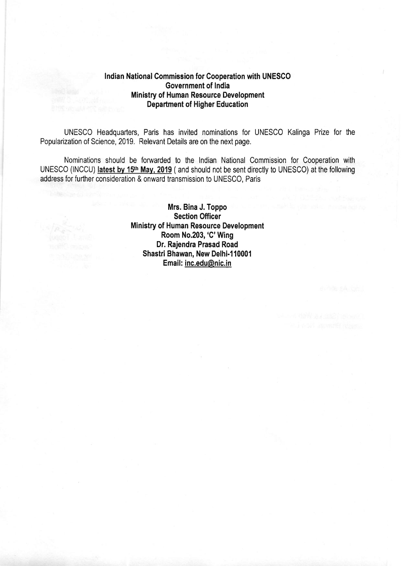### Indian National Commission for Cooperation with UNESCO Government of India Ministry of Human Resource Development Department of Higher Education

UNESCO Headquarters, Paris has invited nominations for UNESCO Kalinga Prize for the Popularization of Science, 2019. Relevant Details are on the next page.

Nominations should be forwarded to the lndian National Commission for Cooperation with UNESCO (INCCU) latest bv 15tn May, 2019 ( and should not be sent directly to UNESCO) at the following address for further consideration & onward transmission to UNESCO, Paris

> Mrs. Bina J. Toppo Section Officer Ministry of Human Resource Development Room No.203,'C'Wing Dr. Rajendra Prasad Road Shastri Bhawan, New Delhi.110001 Email: inc.edu@nic.in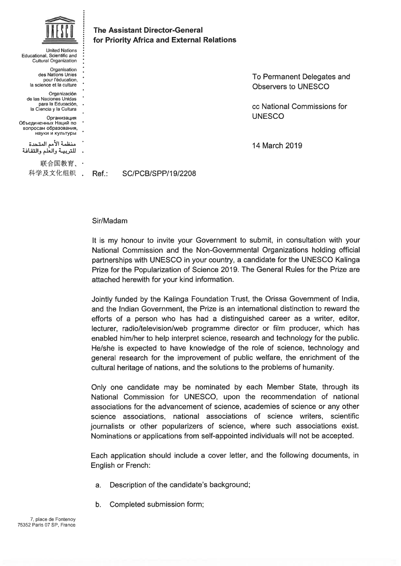| <b>United Nations</b><br>Educational, Scientific and<br>Cultural Organization                                                                              |      | <b>The Assistant Director-General</b><br>for Priority Africa and External Relations |             |
|------------------------------------------------------------------------------------------------------------------------------------------------------------|------|-------------------------------------------------------------------------------------|-------------|
| Organisation<br>des Nations Unies<br>pour l'éducation.<br>la science et la culture                                                                         |      |                                                                                     | To I<br>Obs |
| Organización<br>de las Naciones Unidas<br>para la Educación. .<br>la Ciencia y la Cultura<br>Организация<br>Объединенных Наций по<br>вопросам образования, |      |                                                                                     | cc N<br>UNE |
| науки и культуры<br>منظمة الأمم المتحدة<br>للتربيــة والعلم والثقـافـة                                                                                     |      |                                                                                     | 14 N        |
| 联合国教育、·<br>科学及文化组织                                                                                                                                         | Ref: | <b>SC/PCB/SPP/19/2208</b>                                                           |             |

Permanent Delegates and servers to UNESCO

ce National Commissions for ESCO

March 2019

### Sir/Madam

It is my honour to invite your Government to submit, in consultation with your National Commission and thé Non-Governmental Organizations holding officiai partnerships with UNESCO in your country, a candidate for the UNESCO Kalinga Prize for the Popularization of Science 2019. The General Rules for the Prize are attached herewith for your kind information.

Jointly funded by thé Kalinga Foundation Trust, thé Orissa Government of India, and the Indian Government, the Prize is an international distinction to reward the efforts of a person who has had a distinguished career as a writer, editor, lecturer, radio/television/web programme director or film producer, which has enabled him/her to help interpret science, research and technology for thé public. He/she is expected to have knowledge of the role of science, technology and general research for the improvement of public welfare, the enrichment of the cultural heritage of nations, and the solutions to the problems of humanity.

Only one candidate may be nominated by each Member State, through its National Commission for UNESCO, upon thé recommendation of national associations for thé advancement of science, académies of science or any other science associations, national associations of science writers, scientific journalists or other popularizers of science, where such associations exist. Nominations or applications from self-appointed individuals will not be accepted.

Each application should include a cover letter, and thé following documents, in English or French:

- a. Description of the candidate's background;
- b. Completed submission form;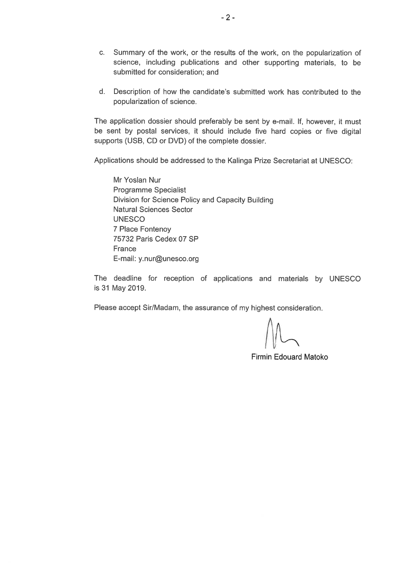- c. Summary of the work, or the results of the work, on the popularization of science, including publications and other supporting materials, to be submitted for consideration; and
- d. Description of how thé candidate's submitted work has contributed to thé popularization of science.

The application dossier should preferably be sent by e-mail. If, however, it must be sent by postal services, it should include five hard copies or five digital supports (USB, CD or DVD) of the complete dossier.

Applications should be addressed to the Kalinga Prize Secretariat at UNESCO:

Mr Yoslan Nur Programme Specialist Division for Science Policy and Capacity Building Natural Sciences Sector UNESCO 7 Place Fontenoy 75732 Paris Cedex 07 SP **France** E-mail: y. nur@unesco.org

The deadline for reception of applications and materials by UNESCO is31 May 2019.

Please accept Sir/Madam, the assurance of my highest consideration.

Firmin Edouard Matoko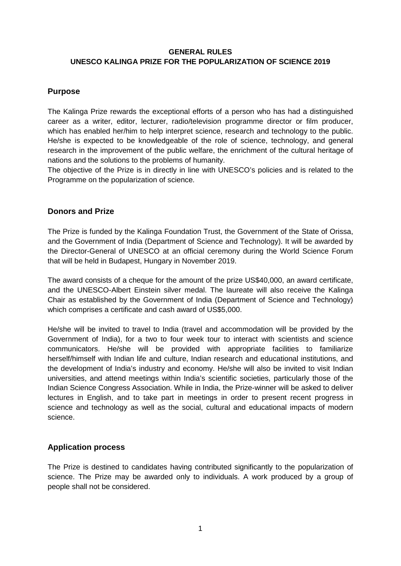## **GENERAL RULES UNESCO KALINGA PRIZE FOR THE POPULARIZATION OF SCIENCE 2019**

# **Purpose**

The Kalinga Prize rewards the exceptional efforts of a person who has had a distinguished career as a writer, editor, lecturer, radio/television programme director or film producer, which has enabled her/him to help interpret science, research and technology to the public. He/she is expected to be knowledgeable of the role of science, technology, and general research in the improvement of the public welfare, the enrichment of the cultural heritage of nations and the solutions to the problems of humanity.

The objective of the Prize is in directly in line with UNESCO's policies and is related to the Programme on the popularization of science.

# **Donors and Prize**

The Prize is funded by the Kalinga Foundation Trust, the Government of the State of Orissa, and the Government of India (Department of Science and Technology). It will be awarded by the Director-General of UNESCO at an official ceremony during the World Science Forum that will be held in Budapest, Hungary in November 2019.

The award consists of a cheque for the amount of the prize US\$40,000, an award certificate, and the UNESCO-Albert Einstein silver medal. The laureate will also receive the Kalinga Chair as established by the Government of India (Department of Science and Technology) which comprises a certificate and cash award of US\$5,000.

He/she will be invited to travel to India (travel and accommodation will be provided by the Government of India), for a two to four week tour to interact with scientists and science communicators. He/she will be provided with appropriate facilities to familiarize herself/himself with Indian life and culture, Indian research and educational institutions, and the development of India's industry and economy. He/she will also be invited to visit Indian universities, and attend meetings within India's scientific societies, particularly those of the Indian Science Congress Association. While in India, the Prize-winner will be asked to deliver lectures in English, and to take part in meetings in order to present recent progress in science and technology as well as the social, cultural and educational impacts of modern science.

## **Application process**

The Prize is destined to candidates having contributed significantly to the popularization of science. The Prize may be awarded only to individuals. A work produced by a group of people shall not be considered.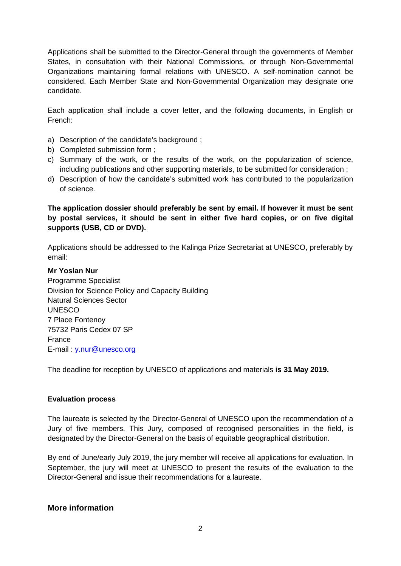Applications shall be submitted to the Director-General through the governments of Member States, in consultation with their National Commissions, or through Non-Governmental Organizations maintaining formal relations with UNESCO. A self-nomination cannot be considered. Each Member State and Non-Governmental Organization may designate one candidate.

Each application shall include a cover letter, and the following documents, in English or French:

- a) Description of the candidate's background ;
- b) Completed submission form ;
- c) Summary of the work, or the results of the work, on the popularization of science, including publications and other supporting materials, to be submitted for consideration ;
- d) Description of how the candidate's submitted work has contributed to the popularization of science.

**The application dossier should preferably be sent by email. If however it must be sent by postal services, it should be sent in either five hard copies, or on five digital supports (USB, CD or DVD).**

Applications should be addressed to the Kalinga Prize Secretariat at UNESCO, preferably by email:

### **Mr Yoslan Nur**

Programme Specialist Division for Science Policy and Capacity Building Natural Sciences Sector UNESCO 7 Place Fontenoy 75732 Paris Cedex 07 SP France E-mail : [y.nur@unesco.org](mailto:y.nur@unesco.org)

The deadline for reception by UNESCO of applications and materials **is 31 May 2019.**

### **Evaluation process**

The laureate is selected by the Director-General of UNESCO upon the recommendation of a Jury of five members. This Jury, composed of recognised personalities in the field, is designated by the Director-General on the basis of equitable geographical distribution.

By end of June/early July 2019, the jury member will receive all applications for evaluation. In September, the jury will meet at UNESCO to present the results of the evaluation to the Director-General and issue their recommendations for a laureate.

## **More information**